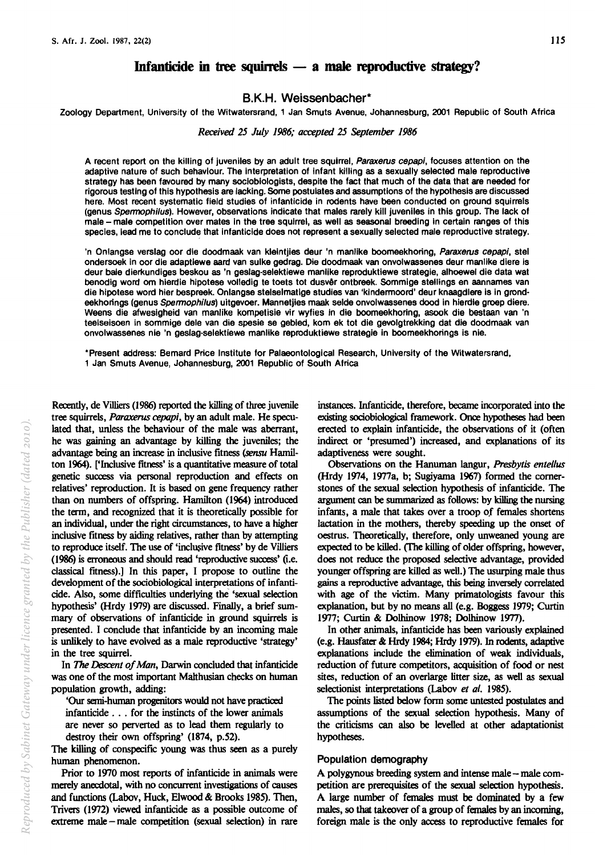# Infanticide in tree squirrels  $-$  a male reproductive strategy?

# B.K.H. Weissenbacher\*

Zoology Department, University of the Witwatersrand, 1 Jan Smuts Avenue, Johannesburg, 2001 Republic of South Africa

## *Received* 25 *July* 1986,· *accepted* 25 *September 1986*

A recent report on the killing of juveniles by an adult tree squirrel, Paraxerus cepapi, focuses attention on the adaptive nature of such behaviour. The interpretation of infant killing as a sexually selected male reproductive strategy has been favoured by many sociobiologists, despite the fact that much of the data that are needed for rigorous testing of this hypothesis are lacking. Some postulates and assumptions of the hypothesis are discussed here. Most recent systematic field studies of infanticide in rodents have been conducted on ground squirrels (genus Spennophilus). However, observations indicate that males rarely kill juveniles in this group. The lack of male - male competition over mates in the tree squirrel, as well as seasonal breeding in certain ranges of this species, lead me to conclude that infanticide does not represent a sexually selected male reproductive strategy.

'n Onlangse verslag oor die doodmaak van kleintjies deur 'n manlike boomeekhoring, Paraxerus cepapi, stel ondersoek in oor die adaptiewe aard van sulke gedrag. Die doodmaak van onvolwassenes deur manlike diere Is deur baie dierkundiges beskou as 'n geslag-selektiewe manlike reproduktiewe strategie, alhoewel die data wat benodig word om hierdie hipotese volledig te toets tot dusvêr ontbreek. Sommige stellings en aannames van die hipotese word hier bespreek. Onlangse stelselmatige studies van 'kindermoord' deur knaagdlere is in grondeekhorings (genus Spermophilus) uitgevoer. Mannetjies maak selde onvolwassenes dood in hierdie groep diere. Weens die afwesigheid van manlike kompetisie vir wyfies in die boomeekhoring, asook die bestaan van 'n teelseisoen in sommige dele van die spesie se gebled, kom ek tot die gevolgtrekking dat die doodmaak van onvolwassenes nie 'n geslag-selektiewe manlike reproduktiewe strategie in boomeekhorings is nie.

'Present address: Bemard Price Institute for Palaeontological Research, University of the Witwatersrand, 1 Jan Smuts Avenue, Johannesburg, 2001 Republic of South Africa

Recently, de Villiers (1986) reported the killing of three juvenile tree squirrels, *Paraxerus cepapi,* by an adult male. He speculated that, unless the behaviour of the male was aberrant, he was gaining an advantage by killing the juveniles; the advantage being an increase in inclusive fitness (sensu Hamilton 1964). ['Inclusive fitness' is a quantitative measure of total genetic success via personal reproduction and effects on relatives' reproduction. It is based on gene frequency rather than on numbers of offspring. Hamilton (1964) introduced the term, and recognized that it is theoretically possible for an individual, under the right circumstances, to have a higher inclusive fitness by aiding relatives, rather than by attempting to reproduce itself. The use of 'inclusive fitness' by de Villiers (1986) is erroneous and should read 'reproductive success' (i.e. classical fitness).] In this paper, I propose to outline the development of the sociobiological interpretations of infanticide. Also, some difficulties underlying the 'sexual selection hypothesis' (Hrdy 1979) are discussed. Finally, a brief summary of observations of infanticide in ground squirrels is presented. I conclude that infanticide by an incoming male is unlikely to have evolved as a male reproductive 'strategy' in the tree squirrel.

In *The Descent of Man,* Darwin concluded that infanticide was one of the most important Malthusian checks on human population growth, adding:

'Our semi-human progenitors would not have practiced infanticide . . . for the instincts of the lower animals are never so perverted as to lead them regularly to destroy their own offspring' (1874, p.52).

The killing of conspecific young was thus seen as a purely human phenomenon.

Prior to 1970 most reports of infanticide in animals were merely anecdotal, with no concurrent investigations of causes and functions (Labov, Huck, Elwood & Brooks 1985). Then, Trivers (1972) viewed infanticide as a possible outcome of extreme male - male competition (sexual selection) in rare instances. Infanticide, therefore, became incorporated into the existing sociobiological framework. Once hypotheses had been erected to explain infanticide, the observations of it (often indirect or 'presumed') increased, and explanations of its adaptiveness were sought.

Observations on the Hanuman langur, *Presby tis ente/lus*  (Hrdy 1974, 1977a, b; Sugiyama 1967) fonned the cornerstones of the sexual selection hypothesis of infanticide. The argument can be summarized as follows: by killing the nursing infants, a male that takes over a troop of females shortens lactation in the mothers, thereby speeding up the onset of oestrus. Theoretically, therefore, only unweaned young are expected to be killed. (The killing of older offspring, however, does not reduce the proposed selective advantage, provided younger offspring are killed as well.) The usurping male thus gains a reproductive advantage, this being inversely correlated with age of the victim. Many primatologists favour this explanation, but by no means all (e.g. Boggess 1979; Curtin 1977; Curtin & Dolhinow 1978; Dolhinow 1977).

In other animals, infanticide has been variously explained (e.g. Hausfater & Hrdy 1984; Hrdy 1979). In rodents, adaptive explanations include the elimination of weak individuals, reduction of future competitors, acquisition of food or nest sites, reduction of an overlarge litter size, as well as sexual selectionist interpretations (Labov et al. 1985).

The points listed below fonn some untested postulates and assumptions of the sexual selection hypothesis. Many of the criticisms can also be levelled at other adaptationist hypotheses.

## Population demography

A polygynous breeding system and intense male -- male competition are prerequisites of the sexual selection hypothesis. A large number of females must be dominated by a few males, so that takeover of a group of females by an incoming, foreign male is the only access to reproductive females for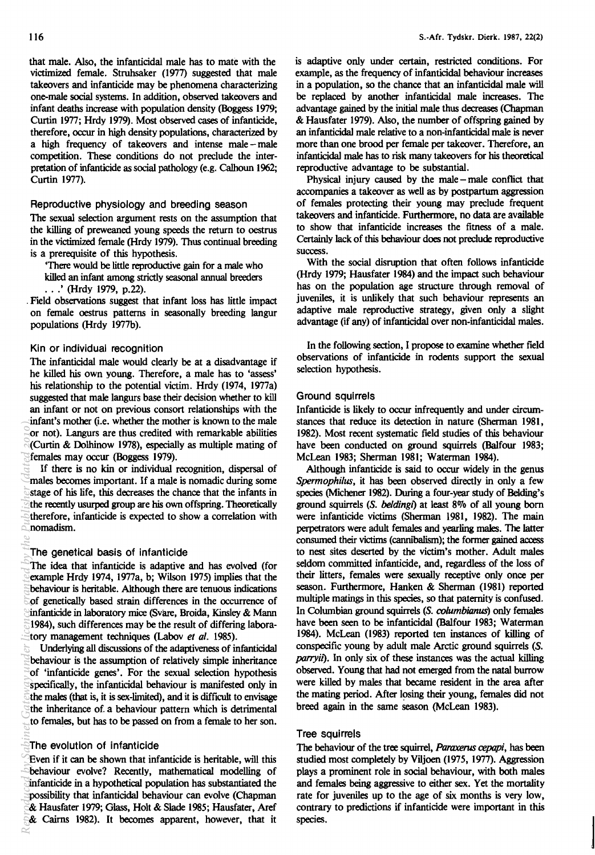that male. Also, the infanticidal male has to mate with the victimized female. Struhsaker (1977) suggested that male takeovers and infanticide may be phenomena characterizing one-male social systems. In addition, observed takeovers and infant deaths increase with population density (Boggess 1979; Curtin 1977; Hrdy 1979). Most observed cases of infanticide, therefore, occur in high density populations, characterized by a high frequency of takeovers and intense male - male competition. These conditions do not preclude the interpretation of infanticide as social pathology (e.g. Calhoun 1962; Curtin 1977).

## Reproductive physiology and breeding season

The sexual selection argument rests on the assumption that the killing of preweaned young speeds the return to oestrus in the victimized female (Hrdy 1979). Thus continual breeding is a prerequisite of this hypothesis.

'There would be little reproductive gain for a male who killed an infant among strictly seasonal annual breeders

.. .' (Hrdy 1979, p.22).

. Field observations suggest that infant loss has little impact on female oestrus patterns in seasonally breeding langur populations (Hrdy 1977b).

## Kin or individual recognition

The infanticidal male would clearly be at a disadvantage if he killed his own young. Therefore, a male has to 'assess' his relationship to the potential victim. Hrdy (1974, 1977a) suggested that male langurs base their decision whether to kill an infant or not on previous consort relationships with the infant's mother (i.e. whether the mother is known to the male or not). Langurs are thus credited with remarkable abilities (Curtin & Dolhinow 1978), especially as multiple mating of females may occur (Boggess 1979).

If there is no kin or individual recognition, dispersal of males becomes important. If a male is nomadic during some stage of his life, this decreases the chance that the infants in the recently usurped group are his own offspring. Theoretically therefore, infanticide is expected to show a correlation with nomadism.

## The genetical basis of infanticide

The idea that infanticide is adaptive and has evolved (for example Hrdy 1974, 1977a, b; Wilson 1975) implies that the behaviour is heritable. Although there are tenuous indications of genetically based strain differences in the occurrence of infanticide in laboratory mice (Svare, Broida, Kinsley & Mann 1984), such differences may be the result of differing laboratory management techniques (Labov et al. 1985).

Underlying all discussions of the adaptiveness of infanticidal behaviour is the assumption of relatively simple inheritance of 'infanticide genes'. For the sexual selection hypothesis specifically, the infanticidal behaviour is manifested only in the males (that is, it is sex-limited), and it is difficult to envisage the inheritance of. a behaviour pattern which is detrimental to females, but has to be passed on from a female to her son. **Reproduced by** *Categoria Categoria* **Categoria By** *Categoria* **Categoria By** *Gateway* **Categoria By** *Gategoria* **Categoria By** *Gateway* **Categoria By** *Gateway* **Categoria By** *Gateway* **Categoria B** 

## The evolution of infanticide

Even if it can be shown that infanticide is heritable, will this behaviour evolve? Recently, mathematical modelling of infanticide in a hypothetical population has substantiated the possibility that infanticidal behaviour can evolve (Chapman & Hausfater 1979; Glass, Holt & Slade 1985; Hausfater, Aref & Cairns 1982). It becomes apparent, however, that it is adaptive only under certain, restricted conditions. For example, as the frequency of infanticidal behaviour increases in a population, so the chance that an infanticidal male will be replaced by another infanticidal male increases. The advantage gained by the initial male thus decreases (Chapman & Hausfater 1979). Also, the number of offspring gained by an infanticidal male relative to a non-infanticidal male is never more than one brood per female per takeover. Therefore, an infanticidal male has to risk many takeovers for his theoretical reproductive advantage to be substantial.

Physical injury caused by the male - male conflict that accompanies a takeover as well as by postpartum aggression of females protecting their young may preclude frequent takeovers and infanticide. Furthermore, no data are available to show that infanticide increases the fitness of a male. Certainly lack of this behaviour does not preclude reproductive success.

With the social disruption that often follows infanticide (Hrdy 1979; Hausfater 1984) and the impact such behaviour has on the population age structure through removal of juveniles, it is unlikely that such behaviour represents an adaptive male reproductive strategy, given only a slight advantage (if any) of infanticidal over non-infanticidal males.

In the following section, I propose to examine whether field observations of infanticide in rodents support the sexual selection hypothesis.

## Ground squirrels

Infanticide is likely to occur infrequently and under circumstances that reduce its detection in nature (Sherman 1981, 1982). Most recent systematic field studies of this behaviour have been conducted on ground squirrels (Balfour 1983; McLean 1983; Sherman 1981; Waterman 1984).

Although infanticide is said to occur widely in the genus *Spermophilus,* it has been observed directly in only a few species (Michener 1982). During a four-year study of Belding's ground squirrels *(S. beldingl)* at least 80/0 of all young born were infanticide victims (Sherman 1981, 1982). The main perpetrators were adult females and yearling males. The latter consumed their victims (cannibalism); the former gained access to nest sites deserted by the victim's mother. Adult males seldom committed infanticide, and, regardless of the loss of their litters, females were sexually receptive only once per season. Furthermore, Hanken & Sherman (1981) reported multiple matings in this species, so that paternity is confused. In Columbian ground squirrels (S. *columbianus)* only females have been seen to be infanticidal (Balfour 1983; Waterman 1984). McLean (1983) reported ten instances of killing of conspecific young by adult male Arctic ground squirrels (S. *parryil).* In only six of these instances was the actual killing observed. Young that had not emerged from the natal burrow were killed by males that became resident in the area after the mating period. After losing their young, females did not breed again in the same season (McLean 1983).

## Tree squirrels

The behaviour of the tree squirrel, *Paraxerus cepapi,* has been studied most completely by Viljoen (1975, 1977). Aggression plays a prominent role in social behaviour, with both males and females being aggressive to either sex. Yet the mortality rate for juveniles up to the age of six months is very low, contrary to predictions if infanticide were important in this species.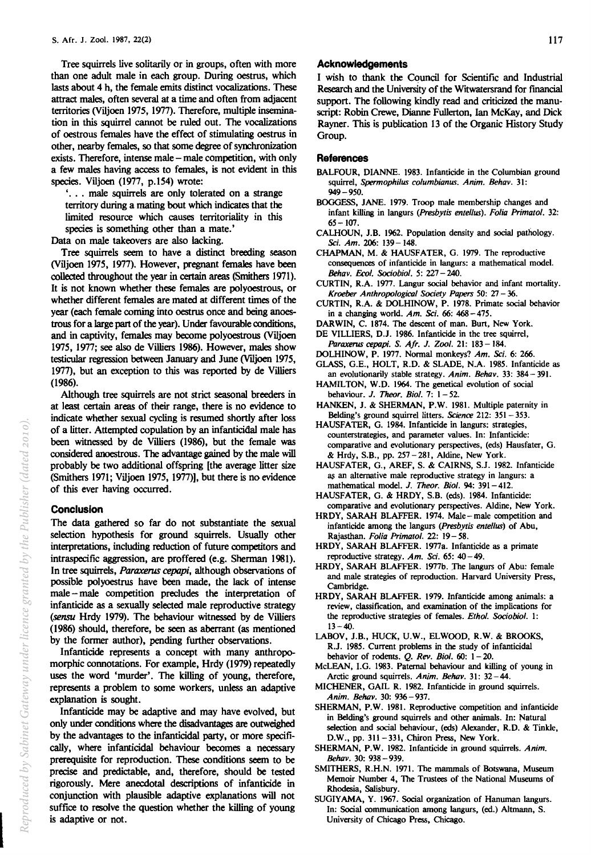Tree squirrels live solitarily or in groups, often with more than one adult male in each group. During oestrus, which lasts about 4 h, the female emits distinct vocalizations. These attract males, often several at a time and often from adjacent territories (Viljoen 1975, 1977). Therefore, multiple insemination in this squirrel cannot be ruled out. The vocalizations of oestrous females have the effect of stimulating oestrus in other, nearby females, so that some degree of synchronization exists. Therefore, intense male - male competition, with only a few males having access to females, is not evident in this species. Viljoen (1977, p.154) wrote:

'. . . male squirrels are only tolerated on a strange territory during a mating bout which indicates that the limited resource which causes territoriality in this species is something other than a mate.'

Data on male takeovers are also lacking.

Tree squirrels seem to have a distinct breeding season (Viljoen 1975, 1977). However, pregnant females have been collected throughout the year in certain areas (Smithers 1971). It is not known whether these females are polyoestrous, or whether different females are mated at different times of the year (each female coming into oestrus once and being anoestrous for a large part of the year). Under favourable conditions, and in captivity, females may become polyoestrous (Viljoen 1975, 1977; see also de ViIliers 1986). However, males show testicular regression between January and June (VIIjoen 1975, 1977), but an exception to this was reported by de ViIliers (1986).

Although tree squirrels are not strict seasonal breeders in at least certain areas of their range, there is no evidence to indicate whether sexual cycling is resumed shortly after loss of a litter. Attempted copulation by an infanticidal male has been witnessed by de ViIliers (1986), but the female was considered anoestrous. The advantage gained by the male will probably be two additional offspring [the average litter size (Smithers 1971; Viljoen 1975, 1977)], but there is no evidence of this ever having occurred.

## **Conclusion**

The data gathered so far do not substantiate the sexual selection hypothesis for ground squirrels. Usually other interpretations, including reduction of future competitors and intraspecific aggression, are proffered (e.g. Sherman 1981). In tree squirrels, *Paraxerus cepapi,* although observations of possible polyoestrus have been made, the lack of intense male - male competition precludes the interpretation of infanticide as a sexually selected male reproductive strategy (sensu Hrdy 1979). The behaviour witnessed by de ViIliers (1986) should, therefore, be seen as aberrant (as mentioned by the former author), pending further observations.

Infanticide represents a concept with many anthropomorphic connotations. For example, Hrdy (1979) repeatedly uses the word 'murder'. The killing of young, therefore, represents a problem to some workers, unless an adaptive explanation is sought.

Infanticide may be adaptive and may have evolved, but only under conditions where the disadvantages are outweighed by the advantages to the infanticidal party, or more specifically, where infanticidal behaviour becomes a necessary prerequisite for reproduction. These conditions seem to be precise and predictable, and, therefore, should be tested rigorously. Mere anecdotal descriptions of infanticide in conjunction with plausible adaptive explanations will not suffice to resolve the question whether the killing of young is adaptive or not.

## **Acknowledgements**

I wish to thank the Council for Scientific and Industrial Research and the University of the Witwatersrand for fmancial support. The following kindly read and criticized the manuscript: Robin Crewe, Dianne Fullerton, Ian McKay, and Dick Rayner. This is publication 13 of the Organic History Study Group.

## **References**

- BALFOUR, DIANNE. 1983. Infanticide in the Columbian ground squirrel, *Spermophilus columbianus. Anim. Behav. 31:*  949-950.
- BOGGESS, JANE. 1979. Troop male membership changes and infant killing in langurs (Presbytis entellus). Folia Primatol. 32:  $65 - 107$ .
- CALHOUN, J.B. 1962. Population density and social pathology. *Sci. Am.* 206: 139-148.
- CHAPMAN, M. & HAUSFATER, G. 1979. The reproductive consequences of infanticide in langurs: a mathematical model. *Behav. £COl. Sociobiol.* 5: 227 - 240.
- CURTIN, R.A. 1977. Langur social behavior and infant mortality. *Kroeber Anthropological Society Papers* 50: 27 - 36.
- CURTIN, R.A. & DOLHINOW, P. 1978. Primate social behavior in a changing world. *Am. Sci.* 66: 468-475.
- DARWIN, C. 1874. The descent of man. Burt, New York.
- DE VILLIERS, D.J. 1986. Infanticide in the tree squirrel, *Paraxerus cepapi.* S. *Afr.* J. Zoo!. 21: 183 - 184.
- DOLHINOW, P. 1977. Normal monkeys? *Am. Sci.* 6: 266.
- GLASS, G.E., HOLT, R.D. & SLADE, N.A. 1985. Infanticide as an evolutionarily stable strategy. *Anim. Behav.* 33: 384 - 391.
- HAMILTON, W.D. 1964. The genetical evolution of social behaviour. J. *Thear. Bioi.* 7: 1 - 52.
- HANKEN, J. & SHERMAN, P.W. 1981. Multiple paternity in Belding'S ground squirrel litters. *Science* 212: 351 - 353.
- HAUSFATER, G. 1984. Infanticide in langurs: strategies, counterstrategies, and parameter values. In: Infanticide: comparative and evolutionary perspectives, (eds) Hausfater, G. & Hrdy, S.B., pp. 257-281, Aldine, New York.
- HAUSFATER, G., AREF, S. & CAIRNS, S.J. 1982. Infanticide as an alternative male reproductive strategy in langurs: a mathematical model. J. *Theor. Bioi.* 94: 391 - 412.
- HAUSFATER, G. & HRDY, S.B. (eds). 1984. Infanticide: comparative and evolutionary perspectives. Aldine, New York.
- HRDY, SARAH BLAFFER. 1974. Male-male competition and infanticide among the langurs (Presbytis entellus) of Abu, Rajasthan. *Folia Primatol.* 22: 19- 58.
- HRDY, SARAH BLAFFER. 1977a. Infanticide as a primate reproductive strategy. *Am. Sci.* 65: 40-49.
- HRDY, SARAH BLAFFER. 1977b. The langurs of Abu: female and male strategies of reproduction. Harvard University Press, Cambridge.
- HRDY, SARAH BLAFFER. 1979. Infanticide among animals: a review, classification, and examination of the implications for the reproductive strategies of females. *Ethol. Sociobiol.* 1:  $13 - 40$ .
- LABOV, J.B., HUCK, U.W., ELWOOD, R.W. & BROOKS, R.J. 1985. Current problems in the study of infanticidal behavior of rodents. Q. *Rev. Bioi.* 60: 1 - 20.
- McLEAN, I.G. 1983. Paternal behaviour and killing of young in Arctic ground squirrels. *Anim. Behav.* 31: 32-44.
- MICHENER, GAIL R. 1982. Infanticide in ground squirrels. *Anim. Behav.* 30: 936-937.
- SHERMAN, P.W. 1981. Reproductive competition and infanticide in Belding's ground squirrels and other animals. In: Natural selection and social behaviour, (eds) Alexander, R.D. & Tinkle, D.W., pp. 311-331, Chiron Press, New York.
- SHERMAN, P.W. 1982. Infanticide in ground squirrels. *Anim. Behav.* 30: 938-939.
- SMITHERS, R.H.N. 1971. The mammals of Botswana, Museum Memoir Number 4, The Trustees of the National Museums of Rhodesia, Salisbury.
- SUGIYAMA, Y. 1967. Social organization of Hanuman langurs. In: Social oommunication among langurs, (ed.) Altmann, S. University of Chicago Press. Chicago.